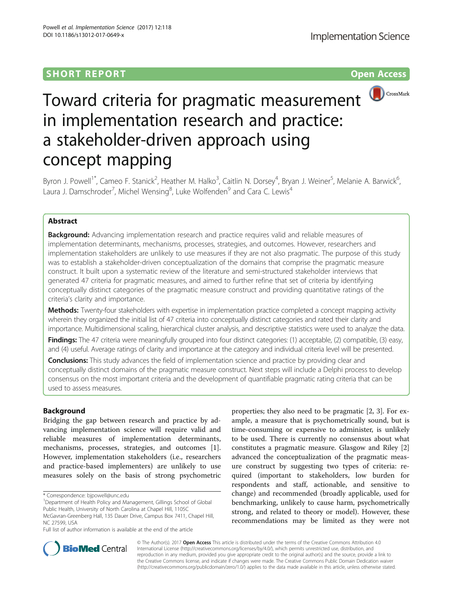## **SHORT REPORT SHORT CONSUMING THE CONSUMING THE CONSUMING THE CONSUMING THE CONSUMING THE CONSUMING THE CONSUMING THE CONSUMING THE CONSUMING THE CONSUMING THE CONSUMING THE CONSUMING THE CONSUMING THE CONSUMING THE CONS**



# Toward criteria for pragmatic measurement in implementation research and practice: a stakeholder-driven approach using concept mapping

Byron J. Powell<sup>1\*</sup>, Cameo F. Stanick<sup>2</sup>, Heather M. Halko<sup>3</sup>, Caitlin N. Dorsey<sup>4</sup>, Bryan J. Weiner<sup>5</sup>, Melanie A. Barwick<sup>6</sup> י<br>, Laura J. Damschroder<sup>7</sup>, Michel Wensing<sup>8</sup>, Luke Wolfenden<sup>9</sup> and Cara C. Lewis<sup>4</sup>

## Abstract

**Background:** Advancing implementation research and practice requires valid and reliable measures of implementation determinants, mechanisms, processes, strategies, and outcomes. However, researchers and implementation stakeholders are unlikely to use measures if they are not also pragmatic. The purpose of this study was to establish a stakeholder-driven conceptualization of the domains that comprise the pragmatic measure construct. It built upon a systematic review of the literature and semi-structured stakeholder interviews that generated 47 criteria for pragmatic measures, and aimed to further refine that set of criteria by identifying conceptually distinct categories of the pragmatic measure construct and providing quantitative ratings of the criteria's clarity and importance.

Methods: Twenty-four stakeholders with expertise in implementation practice completed a concept mapping activity wherein they organized the initial list of 47 criteria into conceptually distinct categories and rated their clarity and importance. Multidimensional scaling, hierarchical cluster analysis, and descriptive statistics were used to analyze the data.

Findings: The 47 criteria were meaningfully grouped into four distinct categories: (1) acceptable, (2) compatible, (3) easy, and (4) useful. Average ratings of clarity and importance at the category and individual criteria level will be presented.

**Conclusions:** This study advances the field of implementation science and practice by providing clear and conceptually distinct domains of the pragmatic measure construct. Next steps will include a Delphi process to develop consensus on the most important criteria and the development of quantifiable pragmatic rating criteria that can be used to assess measures.

## Background

Bridging the gap between research and practice by advancing implementation science will require valid and reliable measures of implementation determinants, mechanisms, processes, strategies, and outcomes [\[1](#page-6-0)]. However, implementation stakeholders (i.e., researchers and practice-based implementers) are unlikely to use measures solely on the basis of strong psychometric

Full list of author information is available at the end of the article

properties; they also need to be pragmatic [[2, 3](#page-6-0)]. For example, a measure that is psychometrically sound, but is time-consuming or expensive to administer, is unlikely to be used. There is currently no consensus about what constitutes a pragmatic measure. Glasgow and Riley [\[2](#page-6-0)] advanced the conceptualization of the pragmatic measure construct by suggesting two types of criteria: required (important to stakeholders, low burden for respondents and staff, actionable, and sensitive to change) and recommended (broadly applicable, used for benchmarking, unlikely to cause harm, psychometrically strong, and related to theory or model). However, these recommendations may be limited as they were not



© The Author(s). 2017 **Open Access** This article is distributed under the terms of the Creative Commons Attribution 4.0 International License [\(http://creativecommons.org/licenses/by/4.0/](http://creativecommons.org/licenses/by/4.0/)), which permits unrestricted use, distribution, and reproduction in any medium, provided you give appropriate credit to the original author(s) and the source, provide a link to the Creative Commons license, and indicate if changes were made. The Creative Commons Public Domain Dedication waiver [\(http://creativecommons.org/publicdomain/zero/1.0/](http://creativecommons.org/publicdomain/zero/1.0/)) applies to the data made available in this article, unless otherwise stated.

<sup>\*</sup> Correspondence: [bjpowell@unc.edu](mailto:bjpowell@unc.edu) <sup>1</sup>

<sup>&</sup>lt;sup>1</sup>Department of Health Policy and Management, Gillings School of Global Public Health, University of North Carolina at Chapel Hill, 1105C

McGavran-Greenberg Hall, 135 Dauer Drive, Campus Box 7411, Chapel Hill, NC 27599, USA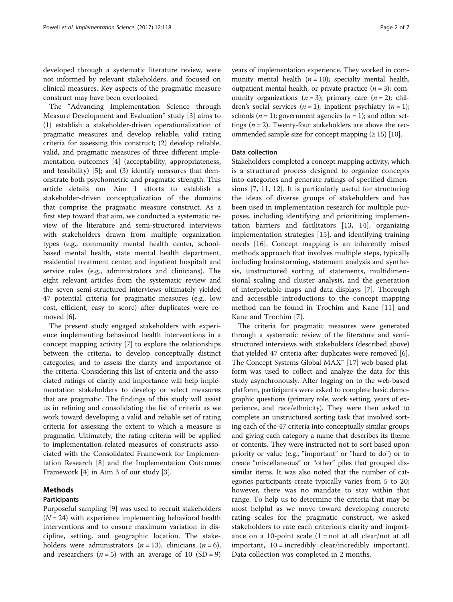developed through a systematic literature review, were not informed by relevant stakeholders, and focused on clinical measures. Key aspects of the pragmatic measure construct may have been overlooked.

The "Advancing Implementation Science through Measure Development and Evaluation" study [[3\]](#page-6-0) aims to (1) establish a stakeholder-driven operationalization of pragmatic measures and develop reliable, valid rating criteria for assessing this construct; (2) develop reliable, valid, and pragmatic measures of three different implementation outcomes [\[4](#page-6-0)] (acceptability, appropriateness, and feasibility) [\[5](#page-6-0)]; and (3) identify measures that demonstrate both psychometric and pragmatic strength. This article details our Aim 1 efforts to establish a stakeholder-driven conceptualization of the domains that comprise the pragmatic measure construct. As a first step toward that aim, we conducted a systematic review of the literature and semi-structured interviews with stakeholders drawn from multiple organization types (e.g., community mental health center, schoolbased mental health, state mental health department, residential treatment center, and inpatient hospital) and service roles (e.g., administrators and clinicians). The eight relevant articles from the systematic review and the seven semi-structured interviews ultimately yielded 47 potential criteria for pragmatic measures (e.g., low cost, efficient, easy to score) after duplicates were removed [\[6](#page-6-0)].

The present study engaged stakeholders with experience implementing behavioral health interventions in a concept mapping activity [\[7](#page-6-0)] to explore the relationships between the criteria, to develop conceptually distinct categories, and to assess the clarity and importance of the criteria. Considering this list of criteria and the associated ratings of clarity and importance will help implementation stakeholders to develop or select measures that are pragmatic. The findings of this study will assist us in refining and consolidating the list of criteria as we work toward developing a valid and reliable set of rating criteria for assessing the extent to which a measure is pragmatic. Ultimately, the rating criteria will be applied to implementation-related measures of constructs associated with the Consolidated Framework for Implementation Research [\[8\]](#page-6-0) and the Implementation Outcomes Framework [\[4](#page-6-0)] in Aim 3 of our study [\[3](#page-6-0)].

## Methods

#### Participants

Purposeful sampling [[9\]](#page-6-0) was used to recruit stakeholders  $(N = 24)$  with experience implementing behavioral health interventions and to ensure maximum variation in discipline, setting, and geographic location. The stakeholders were administrators ( $n = 13$ ), clinicians ( $n = 6$ ), and researchers ( $n = 5$ ) with an average of 10 (SD = 9) years of implementation experience. They worked in community mental health  $(n = 10)$ ; specialty mental health, outpatient mental health, or private practice  $(n = 3)$ ; community organizations  $(n = 3)$ ; primary care  $(n = 2)$ ; children's social services  $(n = 1)$ ; inpatient psychiatry  $(n = 1)$ ; schools ( $n = 1$ ); government agencies ( $n = 1$ ); and other settings ( $n = 2$ ). Twenty-four stakeholders are above the recommended sample size for concept mapping  $(≥ 15)$  [\[10\]](#page-6-0).

### Data collection

Stakeholders completed a concept mapping activity, which is a structured process designed to organize concepts into categories and generate ratings of specified dimensions [[7, 11](#page-6-0), [12\]](#page-6-0). It is particularly useful for structuring the ideas of diverse groups of stakeholders and has been used in implementation research for multiple purposes, including identifying and prioritizing implementation barriers and facilitators [[13, 14](#page-6-0)], organizing implementation strategies [[15](#page-6-0)], and identifying training needs [[16\]](#page-6-0). Concept mapping is an inherently mixed methods approach that involves multiple steps, typically including brainstorming, statement analysis and synthesis, unstructured sorting of statements, multidimensional scaling and cluster analysis, and the generation of interpretable maps and data displays [\[7](#page-6-0)]. Thorough and accessible introductions to the concept mapping method can be found in Trochim and Kane [[11\]](#page-6-0) and Kane and Trochim [[7\]](#page-6-0).

The criteria for pragmatic measures were generated through a systematic review of the literature and semistructured interviews with stakeholders (described above) that yielded 47 criteria after duplicates were removed [[6](#page-6-0)]. The Concept Systems Global MAX™ [\[17\]](#page-6-0) web-based platform was used to collect and analyze the data for this study asynchronously. After logging on to the web-based platform, participants were asked to complete basic demographic questions (primary role, work setting, years of experience, and race/ethnicity). They were then asked to complete an unstructured sorting task that involved sorting each of the 47 criteria into conceptually similar groups and giving each category a name that describes its theme or contents. They were instructed not to sort based upon priority or value (e.g., "important" or "hard to do") or to create "miscellaneous" or "other" piles that grouped dissimilar items. It was also noted that the number of categories participants create typically varies from 5 to 20; however, there was no mandate to stay within that range. To help us to determine the criteria that may be most helpful as we move toward developing concrete rating scales for the pragmatic construct, we asked stakeholders to rate each criterion's clarity and importance on a 10-point scale  $(1 = not at all clear/not at all$ important, 10 = incredibly clear/incredibly important). Data collection was completed in 2 months.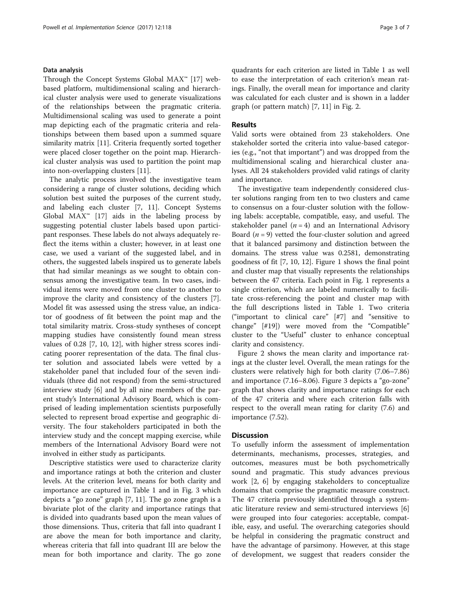#### Data analysis

Through the Concept Systems Global MAX<sup>™</sup> [[17\]](#page-6-0) webbased platform, multidimensional scaling and hierarchical cluster analysis were used to generate visualizations of the relationships between the pragmatic criteria. Multidimensional scaling was used to generate a point map depicting each of the pragmatic criteria and relationships between them based upon a summed square similarity matrix [[11\]](#page-6-0). Criteria frequently sorted together were placed closer together on the point map. Hierarchical cluster analysis was used to partition the point map into non-overlapping clusters [\[11](#page-6-0)].

The analytic process involved the investigative team considering a range of cluster solutions, deciding which solution best suited the purposes of the current study, and labeling each cluster [\[7](#page-6-0), [11](#page-6-0)]. Concept Systems Global  $MAX^m$  [\[17\]](#page-6-0) aids in the labeling process by suggesting potential cluster labels based upon participant responses. These labels do not always adequately reflect the items within a cluster; however, in at least one case, we used a variant of the suggested label, and in others, the suggested labels inspired us to generate labels that had similar meanings as we sought to obtain consensus among the investigative team. In two cases, individual items were moved from one cluster to another to improve the clarity and consistency of the clusters [\[7](#page-6-0)]. Model fit was assessed using the stress value, an indicator of goodness of fit between the point map and the total similarity matrix. Cross-study syntheses of concept mapping studies have consistently found mean stress values of 0.28 [\[7](#page-6-0), [10, 12](#page-6-0)], with higher stress scores indicating poorer representation of the data. The final cluster solution and associated labels were vetted by a stakeholder panel that included four of the seven individuals (three did not respond) from the semi-structured interview study [[6\]](#page-6-0) and by all nine members of the parent study's International Advisory Board, which is comprised of leading implementation scientists purposefully selected to represent broad expertise and geographic diversity. The four stakeholders participated in both the interview study and the concept mapping exercise, while members of the International Advisory Board were not involved in either study as participants.

Descriptive statistics were used to characterize clarity and importance ratings at both the criterion and cluster levels. At the criterion level, means for both clarity and importance are captured in Table [1](#page-3-0) and in Fig. [3](#page-5-0) which depicts a "go zone" graph [[7, 11\]](#page-6-0). The go zone graph is a bivariate plot of the clarity and importance ratings that is divided into quadrants based upon the mean values of those dimensions. Thus, criteria that fall into quadrant I are above the mean for both importance and clarity, whereas criteria that fall into quadrant III are below the mean for both importance and clarity. The go zone

quadrants for each criterion are listed in Table [1](#page-3-0) as well to ease the interpretation of each criterion's mean ratings. Finally, the overall mean for importance and clarity was calculated for each cluster and is shown in a ladder graph (or pattern match) [\[7, 11\]](#page-6-0) in Fig. [2](#page-5-0).

#### Results

Valid sorts were obtained from 23 stakeholders. One stakeholder sorted the criteria into value-based categories (e.g., "not that important") and was dropped from the multidimensional scaling and hierarchical cluster analyses. All 24 stakeholders provided valid ratings of clarity and importance.

The investigative team independently considered cluster solutions ranging from ten to two clusters and came to consensus on a four-cluster solution with the following labels: acceptable, compatible, easy, and useful. The stakeholder panel  $(n = 4)$  and an International Advisory Board  $(n = 9)$  vetted the four-cluster solution and agreed that it balanced parsimony and distinction between the domains. The stress value was 0.2581, demonstrating goodness of fit [\[7](#page-6-0), [10, 12\]](#page-6-0). Figure [1](#page-4-0) shows the final point and cluster map that visually represents the relationships between the 47 criteria. Each point in Fig. [1](#page-4-0) represents a single criterion, which are labeled numerically to facilitate cross-referencing the point and cluster map with the full descriptions listed in Table [1](#page-3-0). Two criteria ("important to clinical care" [#7] and "sensitive to change" [#19]) were moved from the "Compatible" cluster to the "Useful" cluster to enhance conceptual clarity and consistency.

Figure [2](#page-5-0) shows the mean clarity and importance ratings at the cluster level. Overall, the mean ratings for the clusters were relatively high for both clarity (7.06–7.86) and importance (7.16–8.06). Figure [3](#page-5-0) depicts a "go-zone" graph that shows clarity and importance ratings for each of the 47 criteria and where each criterion falls with respect to the overall mean rating for clarity (7.6) and importance (7.52).

#### **Discussion**

To usefully inform the assessment of implementation determinants, mechanisms, processes, strategies, and outcomes, measures must be both psychometrically sound and pragmatic. This study advances previous work [\[2](#page-6-0), [6](#page-6-0)] by engaging stakeholders to conceptualize domains that comprise the pragmatic measure construct. The 47 criteria previously identified through a systematic literature review and semi-structured interviews [\[6](#page-6-0)] were grouped into four categories: acceptable, compatible, easy, and useful. The overarching categories should be helpful in considering the pragmatic construct and have the advantage of parsimony. However, at this stage of development, we suggest that readers consider the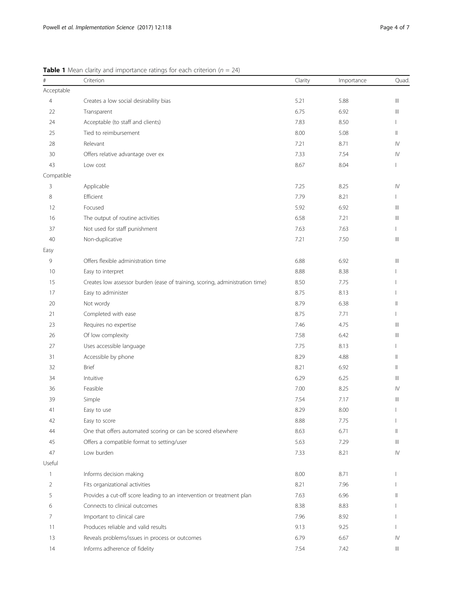| $\#$           | Criterion                                                                    | Clarity | Importance | Quad                                  |
|----------------|------------------------------------------------------------------------------|---------|------------|---------------------------------------|
| Acceptable     |                                                                              |         |            |                                       |
| $\overline{4}$ | Creates a low social desirability bias                                       | 5.21    | 5.88       | $\parallel \parallel$                 |
| 22             | Transparent                                                                  | 6.75    | 6.92       | Ш                                     |
| 24             | Acceptable (to staff and clients)                                            | 7.83    | 8.50       | $\mathbf{I}$                          |
| 25             | Tied to reimbursement                                                        | 8.00    | 5.08       | $\parallel$                           |
| 28             | Relevant                                                                     | 7.21    | 8.71       | IV                                    |
| 30             | Offers relative advantage over ex                                            | 7.33    | 7.54       | $\mathsf{IV}$                         |
| 43             | Low cost                                                                     | 8.67    | 8.04       | I.                                    |
| Compatible     |                                                                              |         |            |                                       |
| 3              | Applicable                                                                   | 7.25    | 8.25       | $\mathsf{IV}$                         |
| 8              | Efficient                                                                    | 7.79    | 8.21       | Ш                                     |
| 12             | Focused                                                                      | 5.92    | 6.92       | $\mathbb{H}$                          |
| 16             | The output of routine activities                                             | 6.58    | 7.21       | $\  \ $                               |
| 37             | Not used for staff punishment                                                | 7.63    | 7.63       | T                                     |
| 40             | Non-duplicative                                                              | 7.21    | 7.50       | $\mathbb{H}$                          |
| Easy           |                                                                              |         |            |                                       |
| 9              | Offers flexible administration time                                          | 6.88    | 6.92       | $\begin{array}{c} \hline \end{array}$ |
| 10             | Easy to interpret                                                            | 8.88    | 8.38       |                                       |
| 15             | Creates low assessor burden (ease of training, scoring, administration time) | 8.50    | 7.75       |                                       |
| 17             | Easy to administer                                                           | 8.75    | 8.13       |                                       |
| 20             | Not wordy                                                                    | 8.79    | 6.38       | Ш                                     |
| 21             | Completed with ease                                                          | 8.75    | 7.71       | $\mathbf{I}$                          |
| 23             | Requires no expertise                                                        | 7.46    | 4.75       | Ш                                     |
| 26             | Of low complexity                                                            | 7.58    | 6.42       | Ш                                     |
| 27             | Uses accessible language                                                     | 7.75    | 8.13       | $\mathbf{I}$                          |
| 31             | Accessible by phone                                                          | 8.29    | 4.88       | $\parallel$                           |
| 32             | <b>Brief</b>                                                                 | 8.21    | 6.92       | Ш                                     |
| 34             | Intuitive                                                                    | 6.29    | 6.25       | $\mathbb{H}$                          |
| 36             | Feasible                                                                     | 7.00    | 8.25       | IV                                    |
| 39             | Simple                                                                       | 7.54    | 7.17       | Ш                                     |
| 41             | Easy to use                                                                  | 8.29    | 8.00       | $\mathbf{I}$                          |
| 42             | Easy to score                                                                | 8.88    | 7.75       |                                       |
| 44             | One that offers automated scoring or can be scored elsewhere                 | 8.63    | 6.71       | Ш                                     |
| 45             | Offers a compatible format to setting/user                                   | 5.63    | 7.29       | Ш                                     |
| 47             | Low burden                                                                   | 7.33    | 8.21       | IV                                    |
| Useful         |                                                                              |         |            |                                       |
| $\mathbf{1}$   | Informs decision making                                                      | 8.00    | 8.71       |                                       |
| $\overline{2}$ | Fits organizational activities                                               | 8.21    | 7.96       |                                       |
| 5              | Provides a cut-off score leading to an intervention or treatment plan        | 7.63    | 6.96       |                                       |
| 6              | Connects to clinical outcomes                                                | 8.38    | 8.83       |                                       |
| 7              | Important to clinical care                                                   | 7.96    | 8.92       |                                       |
| 11             | Produces reliable and valid results                                          | 9.13    | 9.25       |                                       |
| 13             | Reveals problems/issues in process or outcomes                               | 6.79    | 6.67       | IV                                    |
| 14             | Informs adherence of fidelity                                                | 7.54    | 7.42       | Ш                                     |

<span id="page-3-0"></span>**Table 1** Mean clarity and importance ratings for each criterion ( $n = 24$ )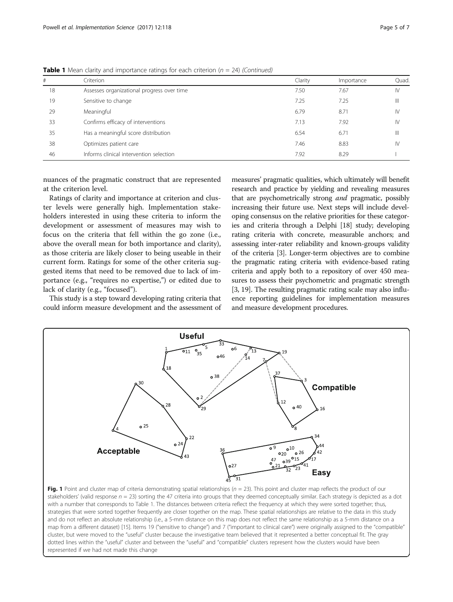| #  | Criterion                                  | Clarity | Importance | Quad.         |
|----|--------------------------------------------|---------|------------|---------------|
| 18 | Assesses organizational progress over time | 7.50    | 7.67       | IV            |
| 19 | Sensitive to change                        | 7.25    | 7.25       | Ш             |
| 29 | Meaningful                                 | 6.79    | 8.71       | IV            |
| 33 | Confirms efficacy of interventions         | 7.13    | 7.92       | $\mathsf{IV}$ |
| 35 | Has a meaningful score distribution        | 6.54    | 6.71       | Ш             |
| 38 | Optimizes patient care                     | 7.46    | 8.83       | IV            |
| 46 | Informs clinical intervention selection    | 7.92    | 8.29       |               |

<span id="page-4-0"></span>**Table 1** Mean clarity and importance ratings for each criterion ( $n = 24$ ) (Continued)

nuances of the pragmatic construct that are represented at the criterion level.

Ratings of clarity and importance at criterion and cluster levels were generally high. Implementation stakeholders interested in using these criteria to inform the development or assessment of measures may wish to focus on the criteria that fell within the go zone (i.e., above the overall mean for both importance and clarity), as those criteria are likely closer to being useable in their current form. Ratings for some of the other criteria suggested items that need to be removed due to lack of importance (e.g., "requires no expertise,") or edited due to lack of clarity (e.g., "focused").

This study is a step toward developing rating criteria that could inform measure development and the assessment of measures' pragmatic qualities, which ultimately will benefit research and practice by yielding and revealing measures that are psychometrically strong *and* pragmatic, possibly increasing their future use. Next steps will include developing consensus on the relative priorities for these categories and criteria through a Delphi [[18](#page-6-0)] study; developing rating criteria with concrete, measurable anchors; and assessing inter-rater reliability and known-groups validity of the criteria [\[3\]](#page-6-0). Longer-term objectives are to combine the pragmatic rating criteria with evidence-based rating criteria and apply both to a repository of over 450 measures to assess their psychometric and pragmatic strength [[3, 19\]](#page-6-0). The resulting pragmatic rating scale may also influence reporting guidelines for implementation measures and measure development procedures.



Fig. 1 Point and cluster map of criteria demonstrating spatial relationships ( $n = 23$ ). This point and cluster map reflects the product of our stakeholders' (valid response  $n = 23$ ) sorting the 47 criteria into groups that they deemed conceptually similar. Each strategy is depicted as a dot with a number that corresponds to Table [1.](#page-3-0) The distances between criteria reflect the frequency at which they were sorted together; thus, strategies that were sorted together frequently are closer together on the map. These spatial relationships are relative to the data in this study and do not reflect an absolute relationship (i.e., a 5-mm distance on this map does not reflect the same relationship as a 5-mm distance on a map from a different dataset) [[15](#page-6-0)]. Items 19 ("sensitive to change") and 7 ("important to clinical care") were originally assigned to the "compatible" cluster, but were moved to the "useful" cluster because the investigative team believed that it represented a better conceptual fit. The gray dotted lines within the "useful" cluster and between the "useful" and "compatible" clusters represent how the clusters would have been represented if we had not made this change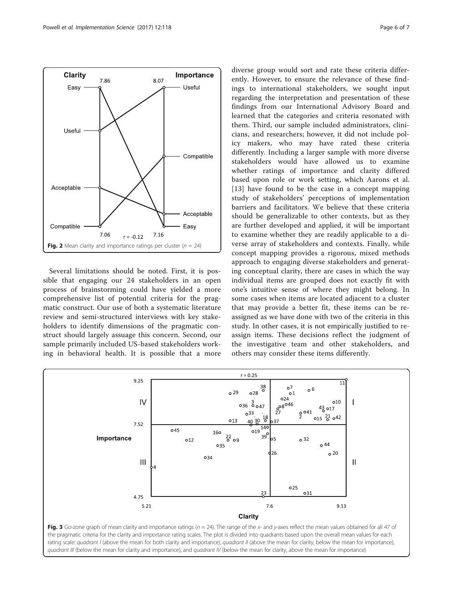<span id="page-5-0"></span>

Several limitations should be noted. First, it is possible that engaging our 24 stakeholders in an open process of brainstorming could have yielded a more comprehensive list of potential criteria for the pragmatic construct. Our use of both a systematic literature review and semi-structured interviews with key stakeholders to identify dimensions of the pragmatic construct should largely assuage this concern. Second, our sample primarily included US-based stakeholders working in behavioral health. It is possible that a more

diverse group would sort and rate these criteria differently. However, to ensure the relevance of these findings to international stakeholders, we sought input regarding the interpretation and presentation of these findings from our International Advisory Board and learned that the categories and criteria resonated with them. Third, our sample included administrators, clinicians, and researchers; however, it did not include policy makers, who may have rated these criteria differently. Including a larger sample with more diverse stakeholders would have allowed us to examine whether ratings of importance and clarity differed based upon role or work setting, which Aarons et al. [[13\]](#page-6-0) have found to be the case in a concept mapping study of stakeholders' perceptions of implementation barriers and facilitators. We believe that these criteria should be generalizable to other contexts, but as they are further developed and applied, it will be important to examine whether they are readily applicable to a diverse array of stakeholders and contexts. Finally, while concept mapping provides a rigorous, mixed methods approach to engaging diverse stakeholders and generating conceptual clarity, there are cases in which the way individual items are grouped does not exactly fit with one's intuitive sense of where they might belong. In some cases when items are located adjacent to a cluster that may provide a better fit, these items can be reassigned as we have done with two of the criteria in this study. In other cases, it is not empirically justified to reassign items. These decisions reflect the judgment of the investigative team and other stakeholders, and others may consider these items differently.